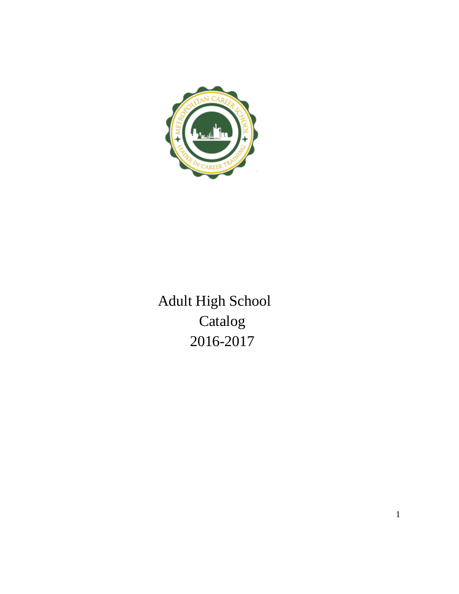

Adult High School Catalog 2016-2017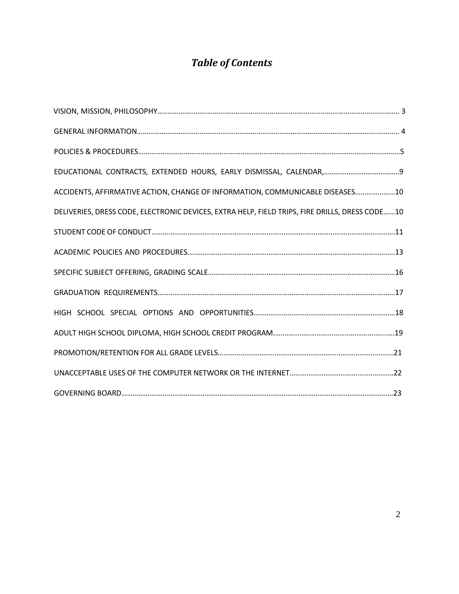# *Table of Contents*

| ACCIDENTS, AFFIRMATIVE ACTION, CHANGE OF INFORMATION, COMMUNICABLE DISEASES10                  |  |
|------------------------------------------------------------------------------------------------|--|
| DELIVERIES, DRESS CODE, ELECTRONIC DEVICES, EXTRA HELP, FIELD TRIPS, FIRE DRILLS, DRESS CODE10 |  |
|                                                                                                |  |
|                                                                                                |  |
|                                                                                                |  |
|                                                                                                |  |
|                                                                                                |  |
|                                                                                                |  |
|                                                                                                |  |
|                                                                                                |  |
|                                                                                                |  |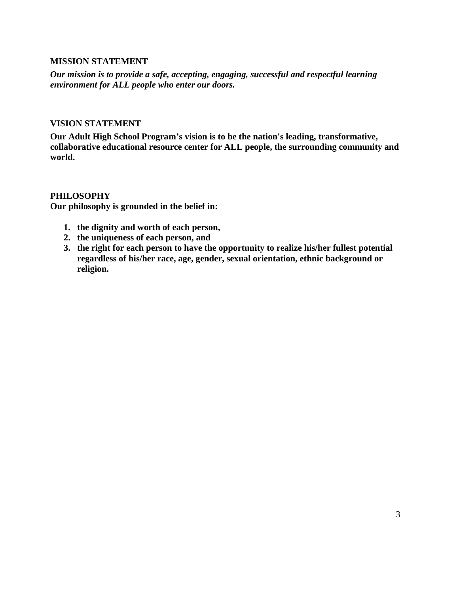#### **MISSION STATEMENT**

*Our mission is to provide a safe, accepting, engaging, successful and respectful learning environment for ALL people who enter our doors.*

#### **VISION STATEMENT**

**Our Adult High School Program's vision is to be the nation's leading, transformative, collaborative educational resource center for ALL people, the surrounding community and world.**

#### **PHILOSOPHY**

**Our philosophy is grounded in the belief in:** 

- **1. the dignity and worth of each person,**
- **2. the uniqueness of each person, and**
- **3. the right for each person to have the opportunity to realize his/her fullest potential regardless of his/her race, age, gender, sexual orientation, ethnic background or religion.**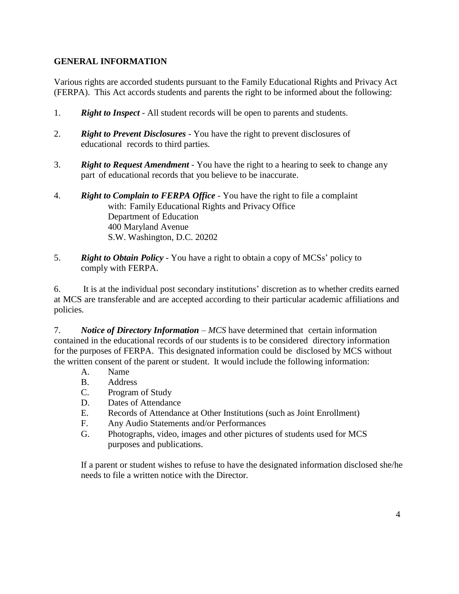## **GENERAL INFORMATION**

Various rights are accorded students pursuant to the Family Educational Rights and Privacy Act (FERPA). This Act accords students and parents the right to be informed about the following:

- 1. *Right to Inspect* All student records will be open to parents and students.
- 2. *Right to Prevent Disclosures* You have the right to prevent disclosures of educational records to third parties.
- 3. *Right to Request Amendment -* You have the right to a hearing to seek to change any part of educational records that you believe to be inaccurate.
- 4. *Right to Complain to FERPA Office* You have the right to file a complaint with: Family Educational Rights and Privacy Office Department of Education 400 Maryland Avenue S.W. Washington, D.C. 20202
- 5. *Right to Obtain Policy -* You have a right to obtain a copy of MCSs' policy to comply with FERPA.

6. It is at the individual post secondary institutions' discretion as to whether credits earned at MCS are transferable and are accepted according to their particular academic affiliations and policies.

7. *Notice of Directory Information – MCS* have determined that certain information contained in the educational records of our students is to be considered directory information for the purposes of FERPA. This designated information could be disclosed by MCS without the written consent of the parent or student. It would include the following information:

- A. Name
- B. Address
- C. Program of Study
- D. Dates of Attendance
- E. Records of Attendance at Other Institutions (such as Joint Enrollment)
- F. Any Audio Statements and/or Performances
- G. Photographs, video, images and other pictures of students used for MCS purposes and publications.

If a parent or student wishes to refuse to have the designated information disclosed she/he needs to file a written notice with the Director.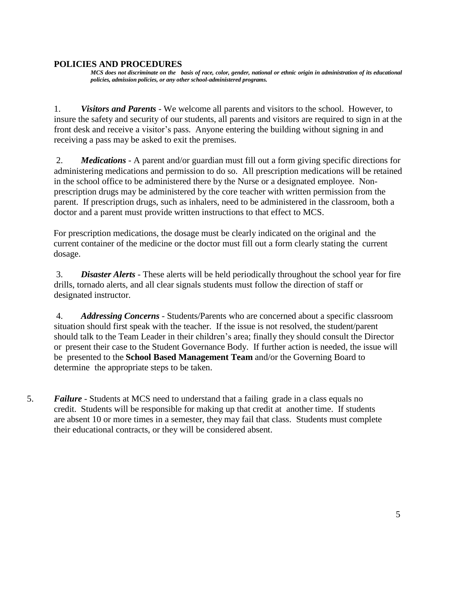#### **POLICIES AND PROCEDURES**

*MCS does not discriminate on the basis of race, color, gender, national or ethnic origin in administration of its educational policies, admission policies, or any other school-administered programs.*

1. *Visitors and Parents -* We welcome all parents and visitors to the school. However, to insure the safety and security of our students, all parents and visitors are required to sign in at the front desk and receive a visitor's pass. Anyone entering the building without signing in and receiving a pass may be asked to exit the premises.

2. *Medications* - A parent and/or guardian must fill out a form giving specific directions for administering medications and permission to do so. All prescription medications will be retained in the school office to be administered there by the Nurse or a designated employee. Nonprescription drugs may be administered by the core teacher with written permission from the parent. If prescription drugs, such as inhalers, need to be administered in the classroom, both a doctor and a parent must provide written instructions to that effect to MCS.

For prescription medications, the dosage must be clearly indicated on the original and the current container of the medicine or the doctor must fill out a form clearly stating the current dosage.

3. *Disaster Alerts* - These alerts will be held periodically throughout the school year for fire drills, tornado alerts, and all clear signals students must follow the direction of staff or designated instructor.

4. *Addressing Concerns* - Students/Parents who are concerned about a specific classroom situation should first speak with the teacher. If the issue is not resolved, the student/parent should talk to the Team Leader in their children's area; finally they should consult the Director or present their case to the Student Governance Body. If further action is needed, the issue will be presented to the **School Based Management Team** and/or the Governing Board to determine the appropriate steps to be taken.

5. *Failure -* Students at MCS need to understand that a failing grade in a class equals no credit. Students will be responsible for making up that credit at another time. If students are absent 10 or more times in a semester, they may fail that class. Students must complete their educational contracts, or they will be considered absent.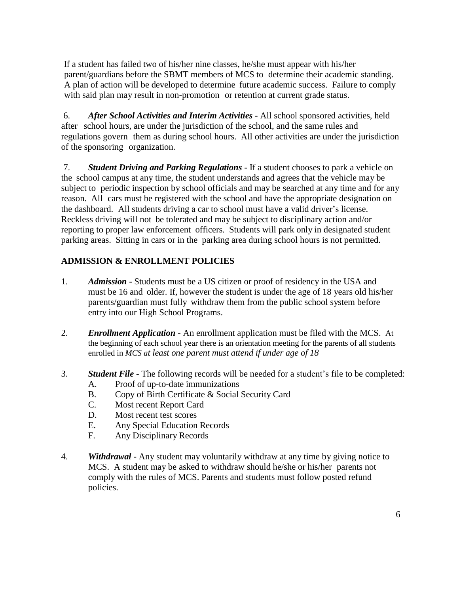If a student has failed two of his/her nine classes, he/she must appear with his/her parent/guardians before the SBMT members of MCS to determine their academic standing. A plan of action will be developed to determine future academic success. Failure to comply with said plan may result in non-promotion or retention at current grade status.

6. *After School Activities and Interim Activities -* All school sponsored activities, held after school hours, are under the jurisdiction of the school, and the same rules and regulations govern them as during school hours. All other activities are under the jurisdiction of the sponsoring organization.

7. *Student Driving and Parking Regulations -* If a student chooses to park a vehicle on the school campus at any time, the student understands and agrees that the vehicle may be subject to periodic inspection by school officials and may be searched at any time and for any reason. All cars must be registered with the school and have the appropriate designation on the dashboard. All students driving a car to school must have a valid driver's license. Reckless driving will not be tolerated and may be subject to disciplinary action and/or reporting to proper law enforcement officers. Students will park only in designated student parking areas. Sitting in cars or in the parking area during school hours is not permitted.

## **ADMISSION & ENROLLMENT POLICIES**

- 1. *Admission* Students must be a US citizen or proof of residency in the USA and must be 16 and older. If, however the student is under the age of 18 years old his/her parents/guardian must fully withdraw them from the public school system before entry into our High School Programs.
- 2. *Enrollment Application -* An enrollment application must be filed with the MCS. At the beginning of each school year there is an orientation meeting for the parents of all students enrolled in *MCS at least one parent must attend if under age of 18*
- 3. *Student File -* The following records will be needed for a student's file to be completed:
	- A. Proof of up-to-date immunizations
	- B. Copy of Birth Certificate & Social Security Card
	- C. Most recent Report Card
	- D. Most recent test scores
	- E. Any Special Education Records
	- F. Any Disciplinary Records
- 4. *Withdrawal* Any student may voluntarily withdraw at any time by giving notice to MCS. A student may be asked to withdraw should he/she or his/her parents not comply with the rules of MCS. Parents and students must follow posted refund policies.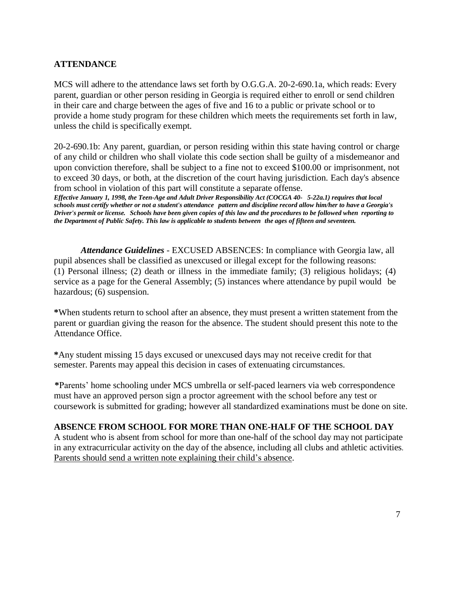## **ATTENDANCE**

MCS will adhere to the attendance laws set forth by O.G.G.A. 20-2-690.1a, which reads: Every parent, guardian or other person residing in Georgia is required either to enroll or send children in their care and charge between the ages of five and 16 to a public or private school or to provide a home study program for these children which meets the requirements set forth in law, unless the child is specifically exempt.

20-2-690.1b: Any parent, guardian, or person residing within this state having control or charge of any child or children who shall violate this code section shall be guilty of a misdemeanor and upon conviction therefore, shall be subject to a fine not to exceed \$100.00 or imprisonment, not to exceed 30 days, or both, at the discretion of the court having jurisdiction. Each day's absence from school in violation of this part will constitute a separate offense.

*Effective January 1, 1998, the Teen-Age and Adult Driver Responsibility Act (COCGA 40- 5-22a.1) requires that local schools must certify whether or not a student's attendance pattern and discipline record allow him/her to have a Georgia's* Driver's permit or license. Schools have been given copies of this law and the procedures to be followed when reporting to *the Department of Public Safety. This law is applicable to students between the ages of fifteen and seventeen.*

*Attendance Guidelines -* EXCUSED ABSENCES: In compliance with Georgia law, all pupil absences shall be classified as unexcused or illegal except for the following reasons: (1) Personal illness; (2) death or illness in the immediate family; (3) religious holidays; (4) service as a page for the General Assembly; (5) instances where attendance by pupil would be hazardous; (6) suspension.

**\***When students return to school after an absence, they must present a written statement from the parent or guardian giving the reason for the absence. The student should present this note to the Attendance Office.

**\***Any student missing 15 days excused or unexcused days may not receive credit for that semester. Parents may appeal this decision in cases of extenuating circumstances.

**\***Parents' home schooling under MCS umbrella or self-paced learners via web correspondence must have an approved person sign a proctor agreement with the school before any test or coursework is submitted for grading; however all standardized examinations must be done on site.

#### **ABSENCE FROM SCHOOL FOR MORE THAN ONE-HALF OF THE SCHOOL DAY**

A student who is absent from school for more than one-half of the school day may not participate in any extracurricular activity on the day of the absence, including all clubs and athletic activities. Parents should send a written note explaining their child's absence.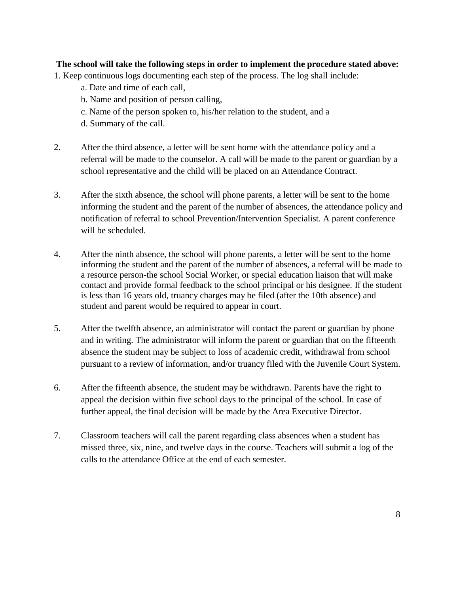## **The school will take the following steps in order to implement the procedure stated above:**

- 1. Keep continuous logs documenting each step of the process. The log shall include:
	- a. Date and time of each call,
	- b. Name and position of person calling,
	- c. Name of the person spoken to, his/her relation to the student, and a
	- d. Summary of the call.
- 2. After the third absence, a letter will be sent home with the attendance policy and a referral will be made to the counselor. A call will be made to the parent or guardian by a school representative and the child will be placed on an Attendance Contract.
- 3. After the sixth absence, the school will phone parents, a letter will be sent to the home informing the student and the parent of the number of absences, the attendance policy and notification of referral to school Prevention/Intervention Specialist. A parent conference will be scheduled.
- 4. After the ninth absence, the school will phone parents, a letter will be sent to the home informing the student and the parent of the number of absences, a referral will be made to a resource person-the school Social Worker, or special education liaison that will make contact and provide formal feedback to the school principal or his designee. If the student is less than 16 years old, truancy charges may be filed (after the 10th absence) and student and parent would be required to appear in court.
- 5. After the twelfth absence, an administrator will contact the parent or guardian by phone and in writing. The administrator will inform the parent or guardian that on the fifteenth absence the student may be subject to loss of academic credit, withdrawal from school pursuant to a review of information, and/or truancy filed with the Juvenile Court System.
- 6. After the fifteenth absence, the student may be withdrawn. Parents have the right to appeal the decision within five school days to the principal of the school. In case of further appeal, the final decision will be made by the Area Executive Director.
- 7. Classroom teachers will call the parent regarding class absences when a student has missed three, six, nine, and twelve days in the course. Teachers will submit a log of the calls to the attendance Office at the end of each semester.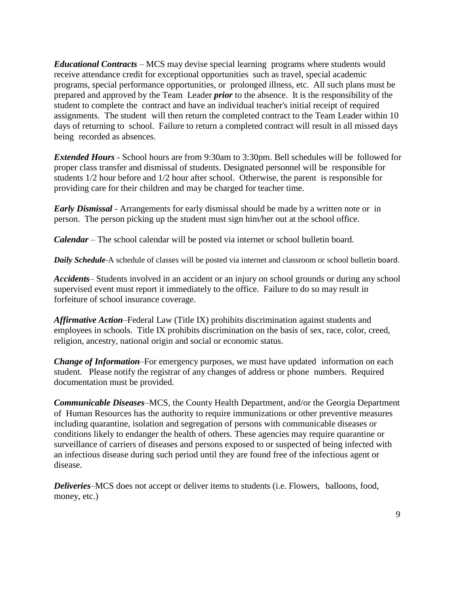*Educational Contracts –* MCS may devise special learning programs where students would receive attendance credit for exceptional opportunities such as travel, special academic programs, special performance opportunities, or prolonged illness, etc. All such plans must be prepared and approved by the Team Leader *prior* to the absence. It is the responsibility of the student to complete the contract and have an individual teacher's initial receipt of required assignments. The student will then return the completed contract to the Team Leader within 10 days of returning to school. Failure to return a completed contract will result in all missed days being recorded as absences.

*Extended Hours -* School hours are from 9:30am to 3:30pm. Bell schedules will be followed for proper class transfer and dismissal of students. Designated personnel will be responsible for students 1/2 hour before and 1/2 hour after school. Otherwise, the parent is responsible for providing care for their children and may be charged for teacher time.

*Early Dismissal -* Arrangements for early dismissal should be made by a written note or in person. The person picking up the student must sign him/her out at the school office.

*Calendar –* The school calendar will be posted via internet or school bulletin board.

*Daily Schedule-*A schedule of classes will be posted via internet and classroom or school bulletin board.

*Accidents–* Students involved in an accident or an injury on school grounds or during any school supervised event must report it immediately to the office. Failure to do so may result in forfeiture of school insurance coverage.

*Affirmative Action–*Federal Law (Title IX) prohibits discrimination against students and employees in schools. Title IX prohibits discrimination on the basis of sex, race, color, creed, religion, ancestry, national origin and social or economic status.

*Change of Information–*For emergency purposes, we must have updated information on each student. Please notify the registrar of any changes of address or phone numbers. Required documentation must be provided.

*Communicable Diseases–*MCS, the County Health Department, and/or the Georgia Department of Human Resources has the authority to require immunizations or other preventive measures including quarantine, isolation and segregation of persons with communicable diseases or conditions likely to endanger the health of others. These agencies may require quarantine or surveillance of carriers of diseases and persons exposed to or suspected of being infected with an infectious disease during such period until they are found free of the infectious agent or disease.

*Deliveries–*MCS does not accept or deliver items to students (i.e. Flowers, balloons, food, money, etc.)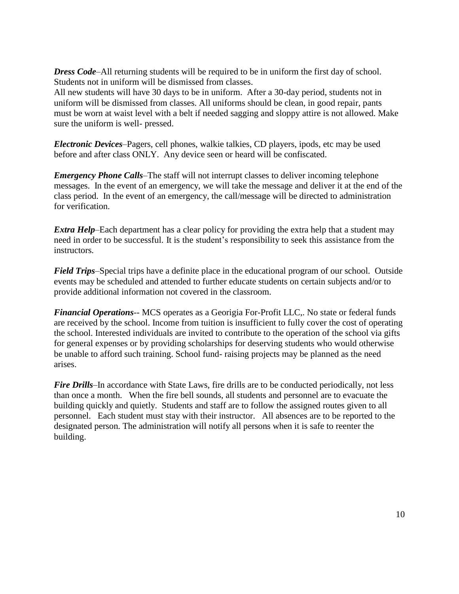*Dress Code–All* returning students will be required to be in uniform the first day of school. Students not in uniform will be dismissed from classes.

All new students will have 30 days to be in uniform. After a 30-day period, students not in uniform will be dismissed from classes. All uniforms should be clean, in good repair, pants must be worn at waist level with a belt if needed sagging and sloppy attire is not allowed. Make sure the uniform is well- pressed.

*Electronic Devices–*Pagers, cell phones, walkie talkies, CD players, ipods, etc may be used before and after class ONLY. Any device seen or heard will be confiscated.

*Emergency Phone Calls–The staff will not interrupt classes to deliver incoming telephone* messages. In the event of an emergency, we will take the message and deliver it at the end of the class period. In the event of an emergency, the call/message will be directed to administration for verification.

*Extra Help*–Each department has a clear policy for providing the extra help that a student may need in order to be successful. It is the student's responsibility to seek this assistance from the instructors.

*Field Trips–*Special trips have a definite place in the educational program of our school. Outside events may be scheduled and attended to further educate students on certain subjects and/or to provide additional information not covered in the classroom.

*Financial Operations--* MCS operates as a Georigia For-Profit LLC,. No state or federal funds are received by the school. Income from tuition is insufficient to fully cover the cost of operating the school. Interested individuals are invited to contribute to the operation of the school via gifts for general expenses or by providing scholarships for deserving students who would otherwise be unable to afford such training. School fund- raising projects may be planned as the need arises.

*Fire Drills*–In accordance with State Laws, fire drills are to be conducted periodically, not less than once a month. When the fire bell sounds, all students and personnel are to evacuate the building quickly and quietly. Students and staff are to follow the assigned routes given to all personnel. Each student must stay with their instructor. All absences are to be reported to the designated person. The administration will notify all persons when it is safe to reenter the building.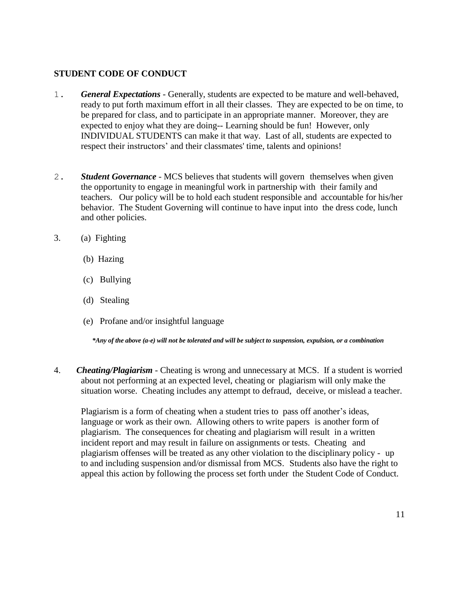#### **STUDENT CODE OF CONDUCT**

- 1. *General Expectations* Generally, students are expected to be mature and well-behaved, ready to put forth maximum effort in all their classes. They are expected to be on time, to be prepared for class, and to participate in an appropriate manner. Moreover, they are expected to enjoy what they are doing-- Learning should be fun! However, only INDIVIDUAL STUDENTS can make it that way. Last of all, students are expected to respect their instructors' and their classmates' time, talents and opinions!
- 2. *Student Governance -* MCS believes that students will govern themselves when given the opportunity to engage in meaningful work in partnership with their family and teachers. Our policy will be to hold each student responsible and accountable for his/her behavior. The Student Governing will continue to have input into the dress code, lunch and other policies.
- 3. (a) Fighting
	- (b) Hazing
	- (c) Bullying
	- (d) Stealing
	- (e) Profane and/or insightful language

*\*Any of the above (a-e) will not be tolerated and will be subject to suspension, expulsion, or a combination*

4. *Cheating/Plagiarism -* Cheating is wrong and unnecessary at MCS. If a student is worried about not performing at an expected level, cheating or plagiarism will only make the situation worse. Cheating includes any attempt to defraud, deceive, or mislead a teacher.

Plagiarism is a form of cheating when a student tries to pass off another's ideas, language or work as their own. Allowing others to write papers is another form of plagiarism. The consequences for cheating and plagiarism will result in a written incident report and may result in failure on assignments or tests. Cheating and plagiarism offenses will be treated as any other violation to the disciplinary policy - up to and including suspension and/or dismissal from MCS. Students also have the right to appeal this action by following the process set forth under the Student Code of Conduct.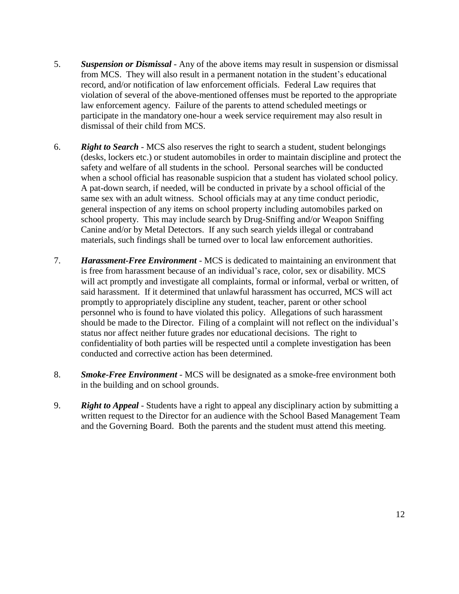- 5. *Suspension or Dismissal* Any of the above items may result in suspension or dismissal from MCS. They will also result in a permanent notation in the student's educational record, and/or notification of law enforcement officials. Federal Law requires that violation of several of the above-mentioned offenses must be reported to the appropriate law enforcement agency. Failure of the parents to attend scheduled meetings or participate in the mandatory one-hour a week service requirement may also result in dismissal of their child from MCS.
- 6. *Right to Search -* MCS also reserves the right to search a student, student belongings (desks, lockers etc.) or student automobiles in order to maintain discipline and protect the safety and welfare of all students in the school. Personal searches will be conducted when a school official has reasonable suspicion that a student has violated school policy. A pat-down search, if needed, will be conducted in private by a school official of the same sex with an adult witness. School officials may at any time conduct periodic, general inspection of any items on school property including automobiles parked on school property. This may include search by Drug-Sniffing and/or Weapon Sniffing Canine and/or by Metal Detectors. If any such search yields illegal or contraband materials, such findings shall be turned over to local law enforcement authorities.
- 7. *Harassment-Free Environment -* MCS is dedicated to maintaining an environment that is free from harassment because of an individual's race, color, sex or disability. MCS will act promptly and investigate all complaints, formal or informal, verbal or written, of said harassment. If it determined that unlawful harassment has occurred, MCS will act promptly to appropriately discipline any student, teacher, parent or other school personnel who is found to have violated this policy. Allegations of such harassment should be made to the Director. Filing of a complaint will not reflect on the individual's status nor affect neither future grades nor educational decisions. The right to confidentiality of both parties will be respected until a complete investigation has been conducted and corrective action has been determined.
- 8. *Smoke-Free Environment* MCS will be designated as a smoke-free environment both in the building and on school grounds.
- 9. *Right to Appeal -* Students have a right to appeal any disciplinary action by submitting a written request to the Director for an audience with the School Based Management Team and the Governing Board. Both the parents and the student must attend this meeting.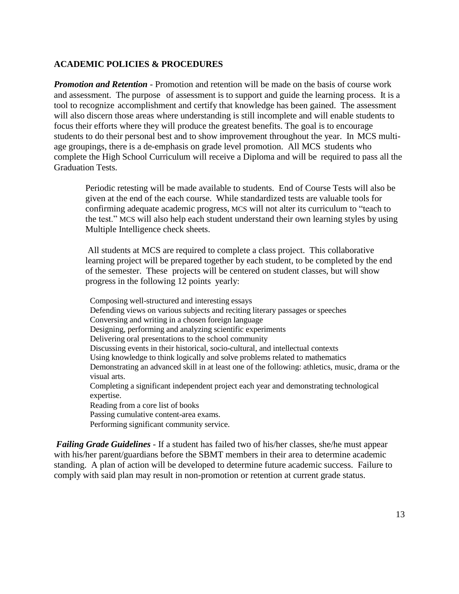#### **ACADEMIC POLICIES & PROCEDURES**

*Promotion and Retention -* Promotion and retention will be made on the basis of course work and assessment. The purpose of assessment is to support and guide the learning process. It is a tool to recognize accomplishment and certify that knowledge has been gained. The assessment will also discern those areas where understanding is still incomplete and will enable students to focus their efforts where they will produce the greatest benefits. The goal is to encourage students to do their personal best and to show improvement throughout the year. In MCS multiage groupings, there is a de-emphasis on grade level promotion. All MCS students who complete the High School Curriculum will receive a Diploma and will be required to pass all the Graduation Tests.

Periodic retesting will be made available to students. End of Course Tests will also be given at the end of the each course. While standardized tests are valuable tools for confirming adequate academic progress, MCS will not alter its curriculum to "teach to the test." MCS will also help each student understand their own learning styles by using Multiple Intelligence check sheets.

All students at MCS are required to complete a class project. This collaborative learning project will be prepared together by each student, to be completed by the end of the semester. These projects will be centered on student classes, but will show progress in the following 12 points yearly:

Composing well-structured and interesting essays Defending views on various subjects and reciting literary passages or speeches Conversing and writing in a chosen foreign language Designing, performing and analyzing scientific experiments Delivering oral presentations to the school community Discussing events in their historical, socio-cultural, and intellectual contexts Using knowledge to think logically and solve problems related to mathematics Demonstrating an advanced skill in at least one of the following: athletics, music, drama or the visual arts. Completing a significant independent project each year and demonstrating technological expertise. Reading from a core list of books Passing cumulative content-area exams. Performing significant community service.

*Failing Grade Guidelines* - If a student has failed two of his/her classes, she/he must appear with his/her parent/guardians before the SBMT members in their area to determine academic standing. A plan of action will be developed to determine future academic success. Failure to comply with said plan may result in non-promotion or retention at current grade status.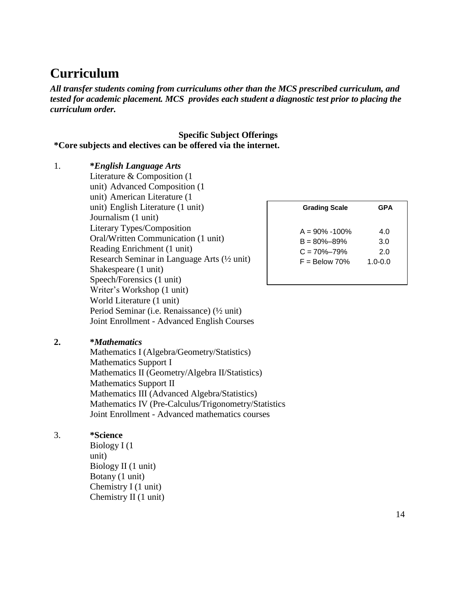# **Curriculum**

*All transfer students coming from curriculums other than the MCS prescribed curriculum, and tested for academic placement. MCS provides each student a diagnostic test prior to placing the curriculum order.*

#### **Specific Subject Offerings \*Core subjects and electives can be offered via the internet.**

- 1. **\****English Language Arts*
	- Literature & Composition (1 unit) Advanced Composition (1 unit) American Literature (1 unit) English Literature (1 unit) Journalism (1 unit) Literary Types/Composition Oral/Written Communication (1 unit) Reading Enrichment (1 unit) Research Seminar in Language Arts (½ unit) Shakespeare (1 unit) Speech/Forensics (1 unit) Writer's Workshop (1 unit) World Literature (1 unit) Period Seminar (i.e. Renaissance) (½ unit) Joint Enrollment - Advanced English Courses

| <b>Grading Scale</b> | GPA         |
|----------------------|-------------|
|                      |             |
| $A = 90\% - 100\%$   | 4.0         |
| $B = 80\% - 89\%$    | 3.0         |
| $C = 70\% - 79\%$    | 2.0         |
| $F =$ Below 70%      | $1.0 - 0.0$ |
|                      |             |

#### **2. \****Mathematics*

Mathematics I (Algebra/Geometry/Statistics) Mathematics Support I Mathematics II (Geometry/Algebra II/Statistics) Mathematics Support II Mathematics III (Advanced Algebra/Statistics) Mathematics IV (Pre-Calculus/Trigonometry/Statistics Joint Enrollment - Advanced mathematics courses

#### 3. **\*Science**

Biology I (1 unit) Biology II (1 unit) Botany (1 unit) Chemistry I (1 unit) Chemistry II (1 unit)

14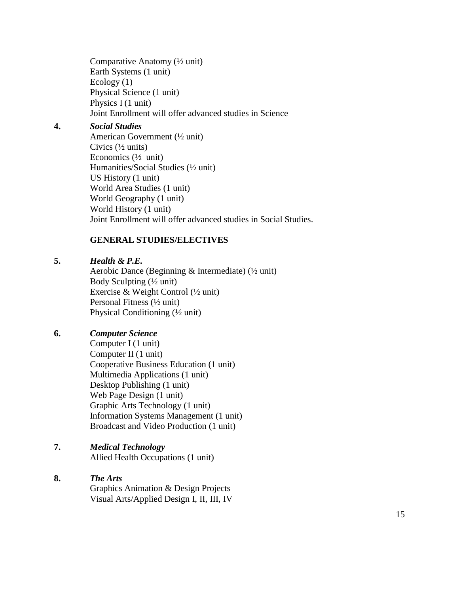Comparative Anatomy (½ unit) Earth Systems (1 unit) Ecology (1) Physical Science (1 unit) Physics I (1 unit) Joint Enrollment will offer advanced studies in Science

#### **4.** *Social Studies*

American Government (½ unit) Civics (½ units) Economics  $(\frac{1}{2}$  unit) Humanities/Social Studies (½ unit) US History (1 unit) World Area Studies (1 unit) World Geography (1 unit) World History (1 unit) Joint Enrollment will offer advanced studies in Social Studies.

#### **GENERAL STUDIES/ELECTIVES**

#### **5.** *Health & P.E.*

Aerobic Dance (Beginning & Intermediate) (½ unit) Body Sculpting (½ unit) Exercise & Weight Control (½ unit) Personal Fitness (½ unit) Physical Conditioning (½ unit)

## **6.** *Computer Science*

Computer I (1 unit) Computer II (1 unit) Cooperative Business Education (1 unit) Multimedia Applications (1 unit) Desktop Publishing (1 unit) Web Page Design (1 unit) Graphic Arts Technology (1 unit) Information Systems Management (1 unit) Broadcast and Video Production (1 unit)

## **7.** *Medical Technology*

Allied Health Occupations (1 unit)

## **8.** *The Arts*

Graphics Animation & Design Projects Visual Arts/Applied Design I, II, III, IV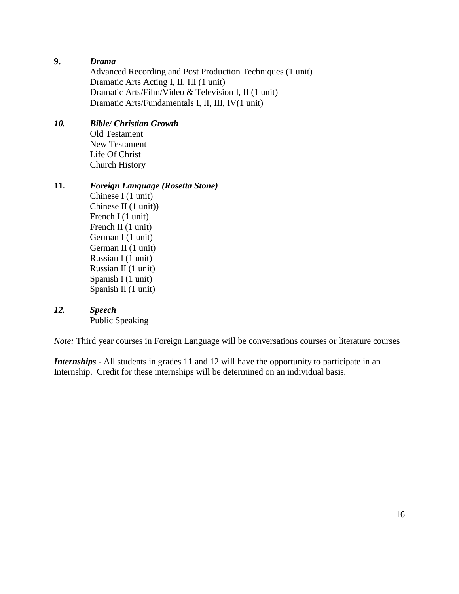#### **9.** *Drama*

Advanced Recording and Post Production Techniques (1 unit) Dramatic Arts Acting I, II, III (1 unit) Dramatic Arts/Film/Video & Television I, II (1 unit) Dramatic Arts/Fundamentals I, II, III, IV(1 unit)

## *10. Bible/ Christian Growth*

Old Testament New Testament Life Of Christ Church History

#### **11.** *Foreign Language (Rosetta Stone)*

Chinese I (1 unit) Chinese II (1 unit)) French I (1 unit) French II (1 unit) German I (1 unit) German II (1 unit) Russian I (1 unit) Russian II (1 unit) Spanish I (1 unit) Spanish II (1 unit)

## *12. Speech*

Public Speaking

*Note:* Third year courses in Foreign Language will be conversations courses or literature courses

*Internships* - All students in grades 11 and 12 will have the opportunity to participate in an Internship. Credit for these internships will be determined on an individual basis.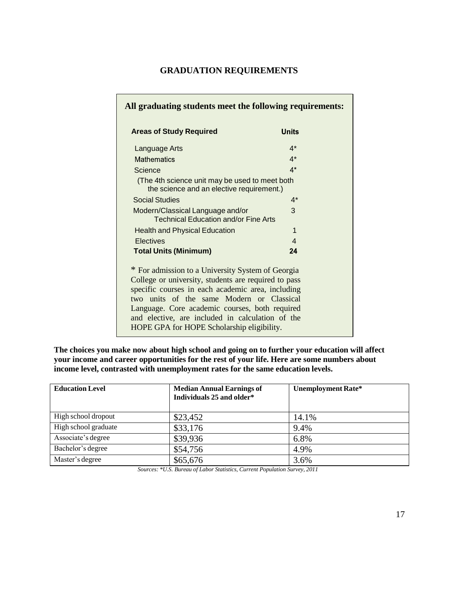#### **GRADUATION REQUIREMENTS**

| All graduating students meet the following requirements:                                                                                                                                                                                                                                                                                                        |                          |  |  |
|-----------------------------------------------------------------------------------------------------------------------------------------------------------------------------------------------------------------------------------------------------------------------------------------------------------------------------------------------------------------|--------------------------|--|--|
| <b>Areas of Study Required</b>                                                                                                                                                                                                                                                                                                                                  | Units                    |  |  |
| Language Arts                                                                                                                                                                                                                                                                                                                                                   | $4^*$                    |  |  |
| <b>Mathematics</b>                                                                                                                                                                                                                                                                                                                                              | $4^*$                    |  |  |
| Science                                                                                                                                                                                                                                                                                                                                                         | $4*$                     |  |  |
| (The 4th science unit may be used to meet both<br>the science and an elective requirement.)                                                                                                                                                                                                                                                                     |                          |  |  |
| <b>Social Studies</b>                                                                                                                                                                                                                                                                                                                                           | $4^*$                    |  |  |
| Modern/Classical Language and/or<br><b>Technical Education and/or Fine Arts</b>                                                                                                                                                                                                                                                                                 | 3                        |  |  |
| <b>Health and Physical Education</b>                                                                                                                                                                                                                                                                                                                            | 1                        |  |  |
| <b>Electives</b>                                                                                                                                                                                                                                                                                                                                                | $\overline{\mathcal{A}}$ |  |  |
| <b>Total Units (Minimum)</b>                                                                                                                                                                                                                                                                                                                                    | 24                       |  |  |
| * For admission to a University System of Georgia<br>College or university, students are required to pass<br>specific courses in each academic area, including<br>two units of the same Modern or Classical<br>Language. Core academic courses, both required<br>and elective, are included in calculation of the<br>HOPE GPA for HOPE Scholarship eligibility. |                          |  |  |

**The choices you make now about high school and going on to further your education will affect your income and career opportunities for the rest of your life. Here are some numbers about income level, contrasted with unemployment rates for the same education levels.**

| <b>Education Level</b> | <b>Median Annual Earnings of</b><br>Individuals 25 and older* | Unemployment Rate* |
|------------------------|---------------------------------------------------------------|--------------------|
| High school dropout    | \$23,452                                                      | 14.1%              |
| High school graduate   | \$33,176                                                      | 9.4%               |
| Associate's degree     | \$39,936                                                      | 6.8%               |
| Bachelor's degree      | \$54,756                                                      | 4.9%               |
| Master's degree        | \$65,676                                                      | 3.6%               |

*Sources: \*U.S. Bureau of Labor Statistics, Current Population Survey, 2011*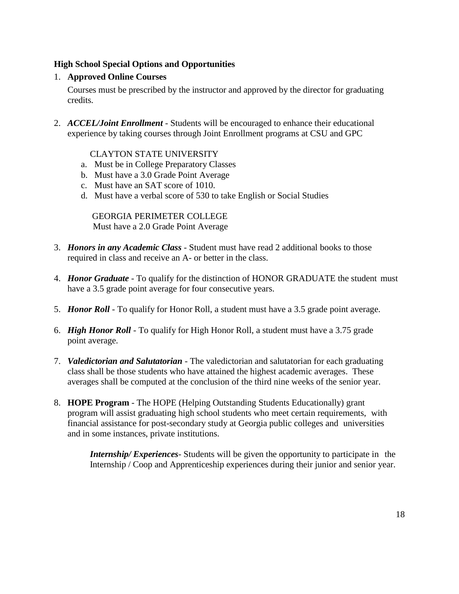## **High School Special Options and Opportunities**

## 1. **Approved Online Courses**

Courses must be prescribed by the instructor and approved by the director for graduating credits.

2. *ACCEL/Joint Enrollment -* Students will be encouraged to enhance their educational experience by taking courses through Joint Enrollment programs at CSU and GPC

## CLAYTON STATE UNIVERSITY

- a. Must be in College Preparatory Classes
- b. Must have a 3.0 Grade Point Average
- c. Must have an SAT score of 1010.
- d. Must have a verbal score of 530 to take English or Social Studies

GEORGIA PERIMETER COLLEGE Must have a 2.0 Grade Point Average

- 3. *Honors in any Academic Class* Student must have read 2 additional books to those required in class and receive an A- or better in the class.
- 4. *Honor Graduate -* To qualify for the distinction of HONOR GRADUATE the student must have a 3.5 grade point average for four consecutive years.
- 5. *Honor Roll -* To qualify for Honor Roll, a student must have a 3.5 grade point average.
- 6. *High Honor Roll -* To qualify for High Honor Roll, a student must have a 3.75 grade point average.
- 7. *Valedictorian and Salutatorian* The valedictorian and salutatorian for each graduating class shall be those students who have attained the highest academic averages. These averages shall be computed at the conclusion of the third nine weeks of the senior year.
- 8. **HOPE Program** The HOPE (Helping Outstanding Students Educationally) grant program will assist graduating high school students who meet certain requirements, with financial assistance for post-secondary study at Georgia public colleges and universities and in some instances, private institutions.

*Internship/ Experiences-* Students will be given the opportunity to participate in the Internship / Coop and Apprenticeship experiences during their junior and senior year.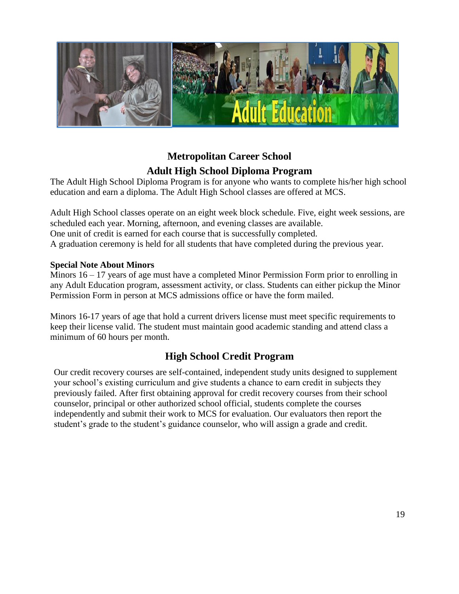

## **Metropolitan Career School Adult High School Diploma Program**

The Adult High School Diploma Program is for anyone who wants to complete his/her high school education and earn a diploma. The Adult High School classes are offered at MCS.

Adult High School classes operate on an eight week block schedule. Five, eight week sessions, are scheduled each year. Morning, afternoon, and evening classes are available. One unit of credit is earned for each course that is successfully completed. A graduation ceremony is held for all students that have completed during the previous year.

## **Special Note About Minors**

Minors 16 – 17 years of age must have a completed Minor Permission Form prior to enrolling in any Adult Education program, assessment activity, or class. Students can either pickup the Minor Permission Form in person at MCS admissions office or have the form mailed.

Minors 16-17 years of age that hold a current drivers license must meet specific requirements to keep their license valid. The student must maintain good academic standing and attend class a minimum of 60 hours per month.

## **High School Credit Program**

Our credit recovery courses are self-contained, independent study units designed to supplement your school's existing curriculum and give students a chance to earn credit in subjects they previously failed. After first obtaining approval for credit recovery courses from their school counselor, principal or other authorized school official, students complete the courses independently and submit their work to MCS for evaluation. Our evaluators then report the student's grade to the student's guidance counselor, who will assign a grade and credit.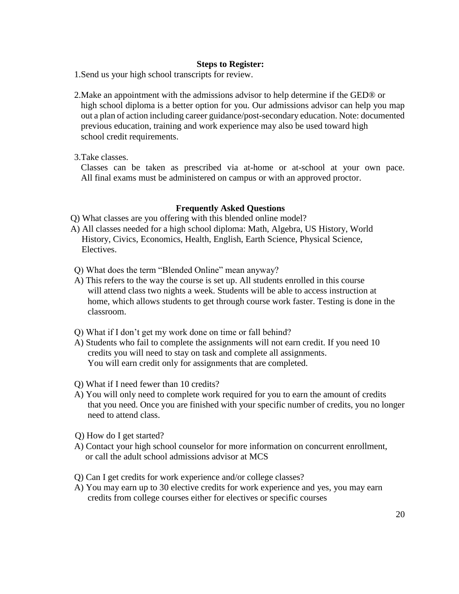#### **Steps to Register:**

1.Send us your high school transcripts for review.

2.Make an appointment with the admissions advisor to help determine if the GED® or high school diploma is a better option for you. Our admissions advisor can help you map out a plan of action including career guidance/post-secondary education. Note: documented previous education, training and work experience may also be used toward high school credit requirements.

3.Take classes.

Classes can be taken as prescribed via at-home or at-school at your own pace. All final exams must be administered on campus or with an approved proctor.

## **Frequently Asked Questions**

Q) What classes are you offering with this blended online model?

- A) All classes needed for a high school diploma: Math, Algebra, US History, World History, Civics, Economics, Health, English, Earth Science, Physical Science, Electives.
- Q) What does the term "Blended Online" mean anyway?
- A) This refers to the way the course is set up. All students enrolled in this course will attend class two nights a week. Students will be able to access instruction at home, which allows students to get through course work faster. Testing is done in the classroom.
- Q) What if I don't get my work done on time or fall behind?
- A) Students who fail to complete the assignments will not earn credit. If you need 10 credits you will need to stay on task and complete all assignments. You will earn credit only for assignments that are completed.
- Q) What if I need fewer than 10 credits?
- A) You will only need to complete work required for you to earn the amount of credits that you need. Once you are finished with your specific number of credits, you no longer need to attend class.
- Q) How do I get started?
- A) Contact your high school counselor for more information on concurrent enrollment, or call the adult school admissions advisor at MCS
- Q) Can I get credits for work experience and/or college classes?
- A) You may earn up to 30 elective credits for work experience and yes, you may earn credits from college courses either for electives or specific courses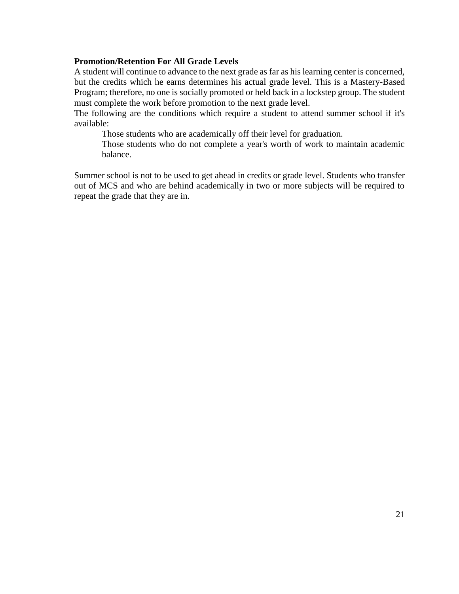#### **Promotion/Retention For All Grade Levels**

A student will continue to advance to the next grade as far as his learning center is concerned, but the credits which he earns determines his actual grade level. This is a Mastery-Based Program; therefore, no one is socially promoted or held back in a lockstep group. The student must complete the work before promotion to the next grade level.

The following are the conditions which require a student to attend summer school if it's available:

Those students who are academically off their level for graduation.

Those students who do not complete a year's worth of work to maintain academic balance.

Summer school is not to be used to get ahead in credits or grade level. Students who transfer out of MCS and who are behind academically in two or more subjects will be required to repeat the grade that they are in.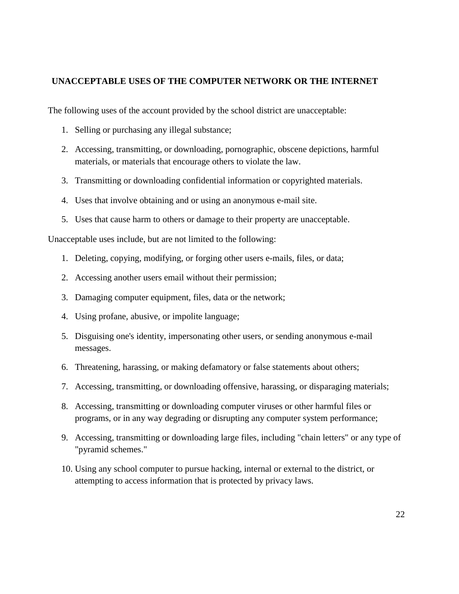## **UNACCEPTABLE USES OF THE COMPUTER NETWORK OR THE INTERNET**

The following uses of the account provided by the school district are unacceptable:

- 1. Selling or purchasing any illegal substance;
- 2. Accessing, transmitting, or downloading, pornographic, obscene depictions, harmful materials, or materials that encourage others to violate the law.
- 3. Transmitting or downloading confidential information or copyrighted materials.
- 4. Uses that involve obtaining and or using an anonymous e-mail site.
- 5. Uses that cause harm to others or damage to their property are unacceptable.

Unacceptable uses include, but are not limited to the following:

- 1. Deleting, copying, modifying, or forging other users e-mails, files, or data;
- 2. Accessing another users email without their permission;
- 3. Damaging computer equipment, files, data or the network;
- 4. Using profane, abusive, or impolite language;
- 5. Disguising one's identity, impersonating other users, or sending anonymous e-mail messages.
- 6. Threatening, harassing, or making defamatory or false statements about others;
- 7. Accessing, transmitting, or downloading offensive, harassing, or disparaging materials;
- 8. Accessing, transmitting or downloading computer viruses or other harmful files or programs, or in any way degrading or disrupting any computer system performance;
- 9. Accessing, transmitting or downloading large files, including "chain letters" or any type of "pyramid schemes."
- 10. Using any school computer to pursue hacking, internal or external to the district, or attempting to access information that is protected by privacy laws.